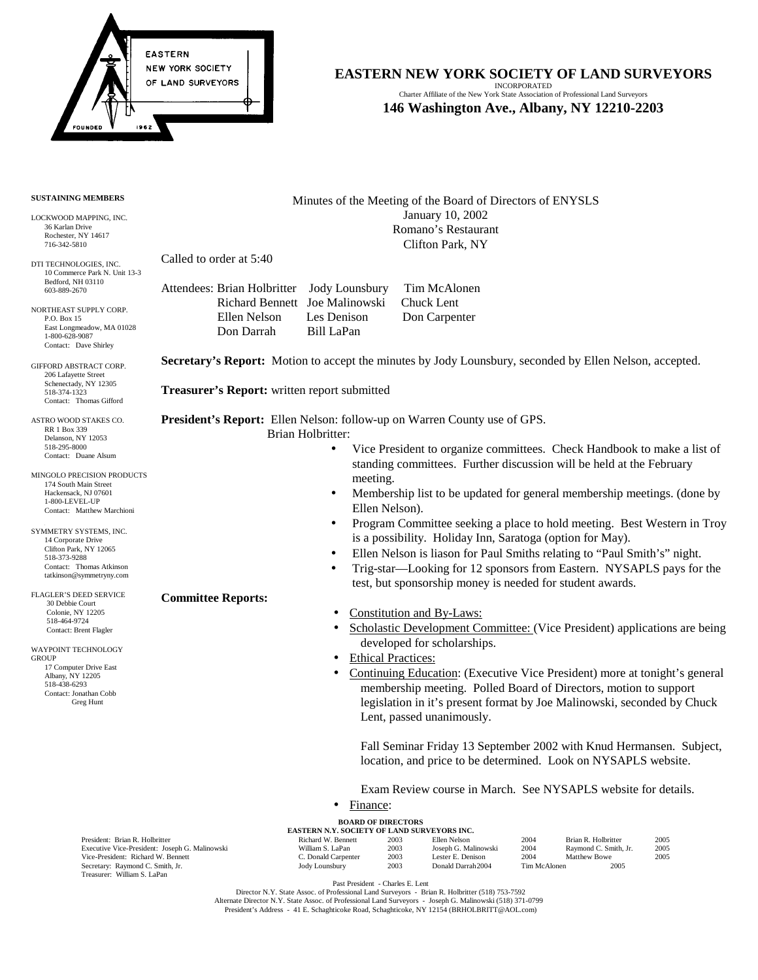

## **EASTERN NEW YORK SOCIETY OF LAND SURVEYORS** INCORPORATED

Charter Affiliate of the New York State Association of Professional Land Surveyors **146 Washington Ave., Albany, NY 12210-2203**

## **SUSTAINING MEMBERS**

LOCKWOOD MAPPING, INC. 36 Karlan Drive Rochester, NY 14617 716-342-5810

DTI TECHNOLOGIES, INC. 10 Commerce Park N. Unit 13-3 Bedford, NH 03110 603-889-2670

NORTHEAST SUPPLY CORP. P.O. Box 15 East Longmeadow, MA 01028 1-800-628-9087 Contact: Dave Shirley

GIFFORD ABSTRACT CORP. 206 Lafayette Street Schenectady, NY 12305 518-374-1323 Contact: Thomas Gifford

ASTRO WOOD STAKES CO. RR 1 Box 339 Delanson, NY 12053 518-295-8000 Contact: Duane Alsum

MINGOLO PRECISION PRODUCTS 174 South Main Street Hackensack, NJ 07601 1-800-LEVEL-UP Contact: Matthew Marchioni

SYMMETRY SYSTEMS, INC. 14 Corporate Drive Clifton Park, NY 12065 518-373-9288 Contact: Thomas Atkinson tatkinson@symmetryny.com

FLAGLER'S DEED SERVICE 30 Debbie Court Colonie, NY 12205 518-464-9724 Contact: Brent Flagler

WAYPOINT TECHNOLOGY **GROUP**  17 Computer Drive East Albany, NY 12205 518-438-6293 Contact: Jonathan Cobb Greg Hunt

Minutes of the Meeting of the Board of Directors of ENYSLS January 10, 2002 Romano's Restaurant Clifton Park, NY

Called to order at 5:40

**Committee Reports:**

|              | Attendees: Brian Holbritter Jody Lounsbury Tim McAlonen |               |
|--------------|---------------------------------------------------------|---------------|
|              | Richard Bennett Joe Malinowski                          | Chuck Lent    |
| Ellen Nelson | Les Denison                                             | Don Carpenter |
| Don Darrah   | Bill LaPan                                              |               |
|              |                                                         |               |

**Secretary's Report:** Motion to accept the minutes by Jody Lounsbury, seconded by Ellen Nelson, accepted.

**Treasurer's Report:** written report submitted

**President's Report:** Ellen Nelson: follow-up on Warren County use of GPS.

Brian Holbritter:

- Vice President to organize committees. Check Handbook to make a list of standing committees. Further discussion will be held at the February meeting.
- Membership list to be updated for general membership meetings. (done by Ellen Nelson).
- Program Committee seeking a place to hold meeting. Best Western in Troy is a possibility. Holiday Inn, Saratoga (option for May).
- Ellen Nelson is liason for Paul Smiths relating to "Paul Smith's" night.
- Trig-star—Looking for 12 sponsors from Eastern. NYSAPLS pays for the test, but sponsorship money is needed for student awards.
- Constitution and By-Laws:
- Scholastic Development Committee: (Vice President) applications are being developed for scholarships.
- Ethical Practices:
- Continuing Education: (Executive Vice President) more at tonight's general membership meeting. Polled Board of Directors, motion to support legislation in it's present format by Joe Malinowski, seconded by Chuck Lent, passed unanimously.

Fall Seminar Friday 13 September 2002 with Knud Hermansen. Subject, location, and price to be determined. Look on NYSAPLS website.

Exam Review course in March. See NYSAPLS website for details.

• Finance:

| <b>BOARD OF DIRECTORS</b><br><b>EASTERN N.Y. SOCIETY OF LAND SURVEYORS INC.</b> |                     |      |                      |      |                       |      |  |  |  |  |
|---------------------------------------------------------------------------------|---------------------|------|----------------------|------|-----------------------|------|--|--|--|--|
| President: Brian R. Holbritter                                                  | Richard W. Bennett  | 2003 | Ellen Nelson         | 2004 | Brian R. Holbritter   | 2005 |  |  |  |  |
| Executive Vice-President: Joseph G. Malinowski                                  | William S. LaPan    | 2003 | Joseph G. Malinowski | 2004 | Raymond C. Smith, Jr. | 2005 |  |  |  |  |
| Vice-President: Richard W. Bennett                                              | C. Donald Carpenter | 2003 | Lester E. Denison    | 2004 | Matthew Bowe          | 2005 |  |  |  |  |
|                                                                                 |                     |      |                      |      |                       |      |  |  |  |  |

**EXECUTIVE VICE TRESIDENT: SUBJEPH D.** Vice-President: Richard W. Bennett Secretary: Raymond C. Smith, Jr. 2005 Jody Lounsbury 2003 Donald Darrah 2004 Tim McAlonen 2005 Treasurer: William S. LaPan

Past President - Charles E. Lent

Director N.Y. State Assoc. of Professional Land Surveyors - Brian R. Holbritter (518) 753-7592 Alternate Director N.Y. State Assoc. of Professional Land Surveyors - Joseph G. Malinowski (518) 371-0799 President's Address - 41 E. Schaghticoke Road, Schaghticoke, NY 12154 (BRHOLBRITT@AOL.com)